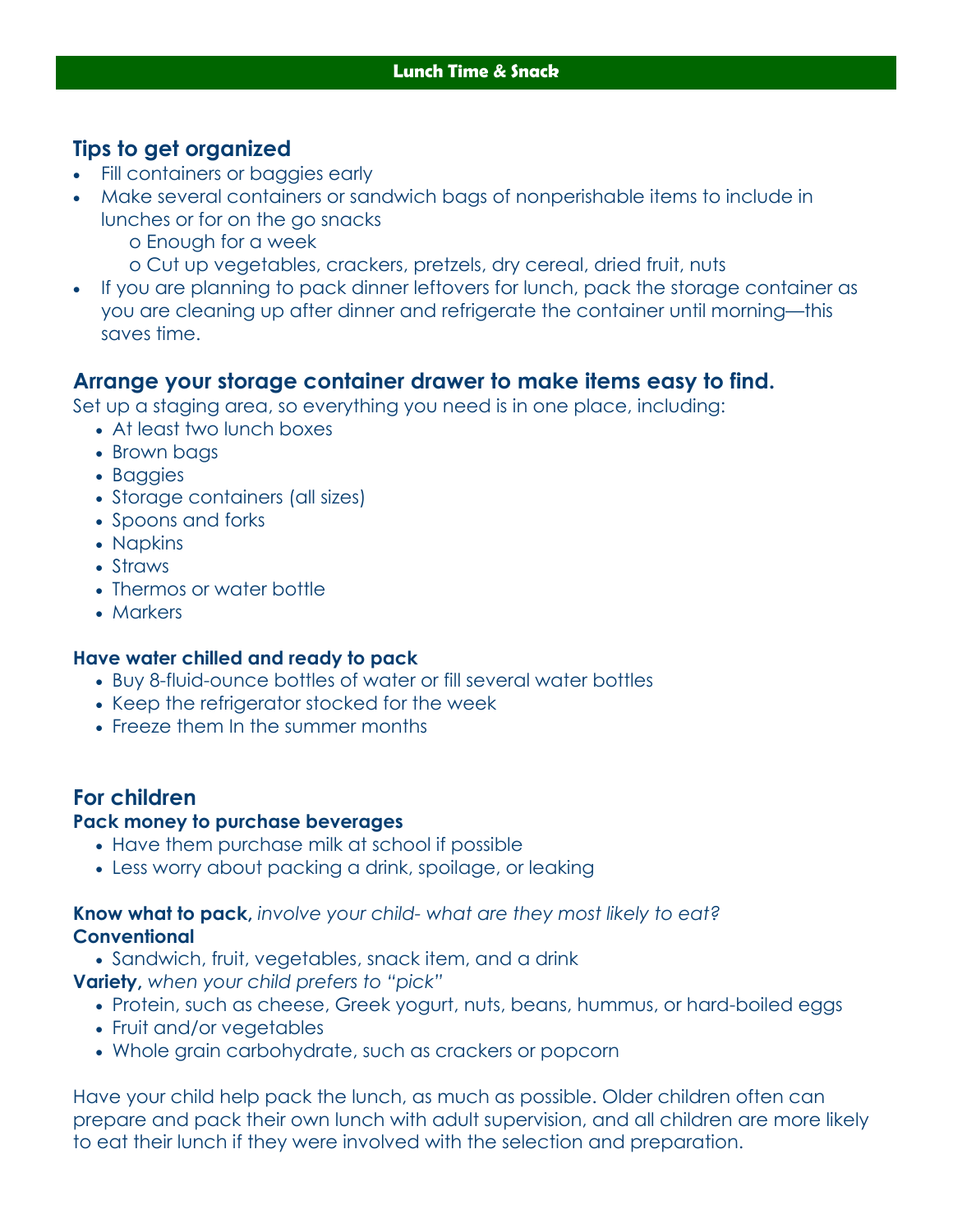# **Tips to get organized**

- Fill containers or baggies early
- Make several containers or sandwich bags of nonperishable items to include in lunches or for on the go snacks
	- o Enough for a week
	- o Cut up vegetables, crackers, pretzels, dry cereal, dried fruit, nuts
- If you are planning to pack dinner leftovers for lunch, pack the storage container as you are cleaning up after dinner and refrigerate the container until morning—this saves time.

## **Arrange your storage container drawer to make items easy to find.**

Set up a staging area, so everything you need is in one place, including:

- At least two lunch boxes
- Brown bags
- Baggies
- Storage containers (all sizes)
- Spoons and forks
- Napkins
- Straws
- Thermos or water bottle
- Markers

### **Have water chilled and ready to pack**

- Buy 8-fluid-ounce bottles of water or fill several water bottles
- Keep the refrigerator stocked for the week
- Freeze them In the summer months

# **For children**

#### **Pack money to purchase beverages**

- Have them purchase milk at school if possible
- Less worry about packing a drink, spoilage, or leaking

#### **Know what to pack,** *involve your child- what are they most likely to eat?*  **Conventional**

Sandwich, fruit, vegetables, snack item, and a drink

**Variety,** *when your child prefers to "pick"* 

- Protein, such as cheese, Greek yogurt, nuts, beans, hummus, or hard-boiled eggs
- Fruit and/or vegetables
- Whole grain carbohydrate, such as crackers or popcorn

Have your child help pack the lunch, as much as possible. Older children often can prepare and pack their own lunch with adult supervision, and all children are more likely to eat their lunch if they were involved with the selection and preparation.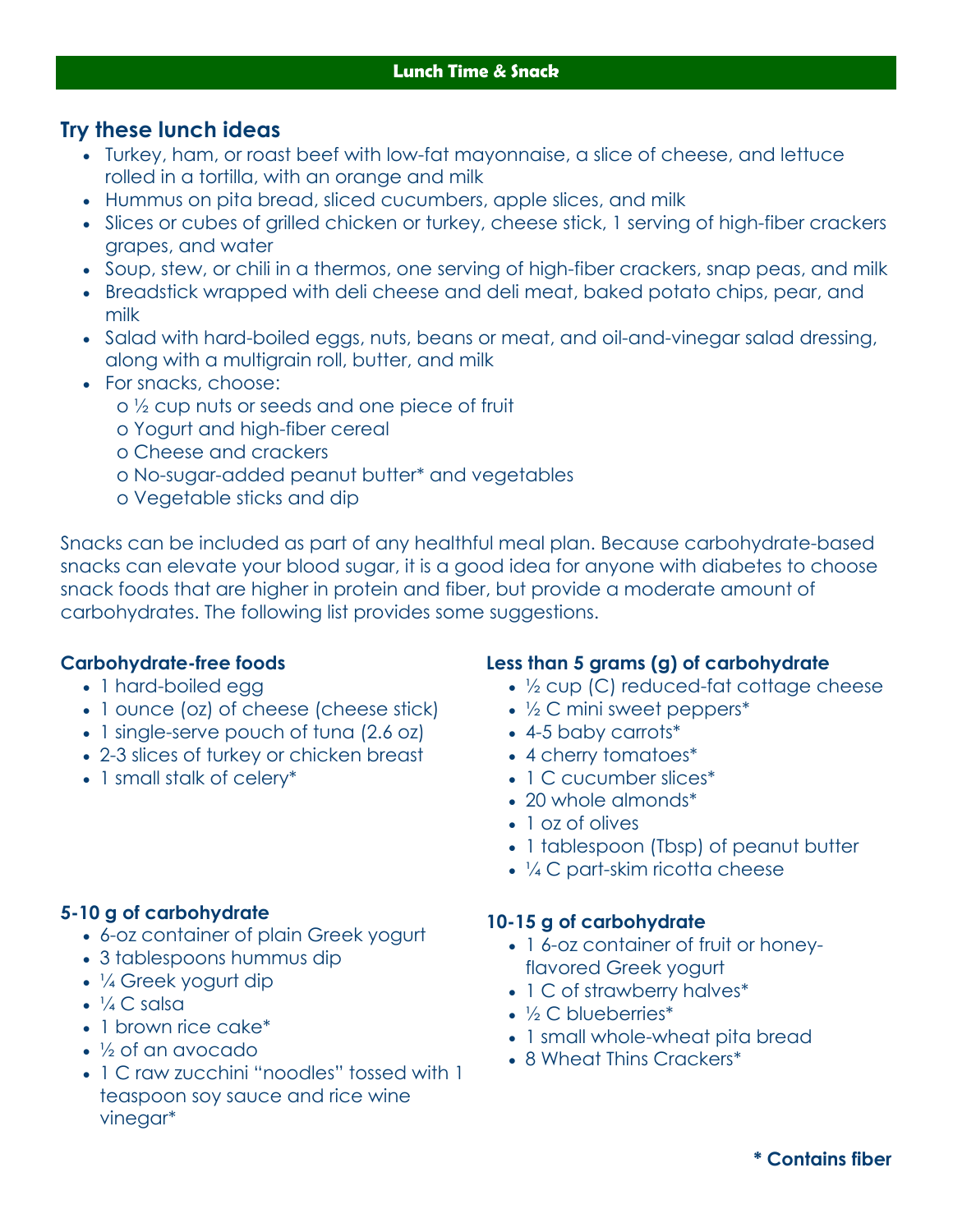## **Try these lunch ideas**

- Turkey, ham, or roast beef with low-fat mayonnaise, a slice of cheese, and lettuce rolled in a tortilla, with an orange and milk
- Hummus on pita bread, sliced cucumbers, apple slices, and milk
- Slices or cubes of grilled chicken or turkey, cheese stick, 1 serving of high-fiber crackers grapes, and water
- Soup, stew, or chili in a thermos, one serving of high-fiber crackers, snap peas, and milk
- Breadstick wrapped with deli cheese and deli meat, baked potato chips, pear, and milk
- Salad with hard-boiled eggs, nuts, beans or meat, and oil-and-vinegar salad dressing, along with a multigrain roll, butter, and milk
- For snacks, choose:
	- o ½ cup nuts or seeds and one piece of fruit
	- o Yogurt and high-fiber cereal
	- o Cheese and crackers
	- o No-sugar-added peanut butter\* and vegetables
	- o Vegetable sticks and dip

Snacks can be included as part of any healthful meal plan. Because carbohydrate-based snacks can elevate your blood sugar, it is a good idea for anyone with diabetes to choose snack foods that are higher in protein and fiber, but provide a moderate amount of carbohydrates. The following list provides some suggestions.

### **Carbohydrate-free foods**

- 1 hard-boiled egg
- 1 ounce (oz) of cheese (cheese stick)
- 1 single-serve pouch of tuna (2.6 oz)
- 2-3 slices of turkey or chicken breast
- 1 small stalk of celery\*

### **Less than 5 grams (g) of carbohydrate**

- 1/2 cup (C) reduced-fat cottage cheese
- $\frac{1}{2}$  C mini sweet peppers\*
- 4-5 baby carrots\*
- 4 cherry tomatoes\*
- 1 C cucumber slices\*
- 20 whole almonds\*
- 1 oz of olives
- 1 tablespoon (Tbsp) of peanut butter
- 1/4 C part-skim ricotta cheese

### **10-15 g of carbohydrate**

- 16-oz container of fruit or honeyflavored Greek yogurt
- 1 C of strawberry halves\*
- ½ C blueberries\*
- 1 small whole-wheat pita bread
- 8 Wheat Thins Crackers\*

## **5-10 g of carbohydrate**

- 6-oz container of plain Greek yogurt
- 3 tablespoons hummus dip
- 1/4 Greek yogurt dip
- $\cdot$   $\frac{1}{4}$  C salsa
- 1 brown rice cake\*
- ½ of an avocado
- 1 C raw zucchini "noodles" tossed with 1 teaspoon soy sauce and rice wine vinegar\*